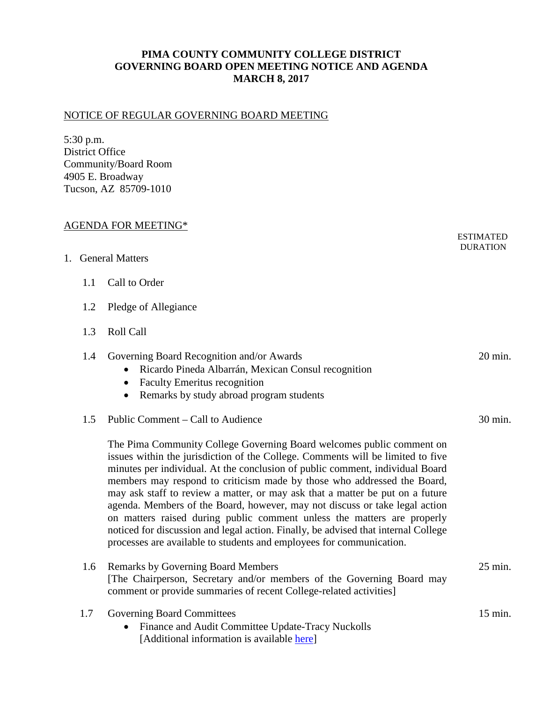## **PIMA COUNTY COMMUNITY COLLEGE DISTRICT GOVERNING BOARD OPEN MEETING NOTICE AND AGENDA MARCH 8, 2017**

## NOTICE OF REGULAR GOVERNING BOARD MEETING

5:30 p.m. District Office Community/Board Room 4905 E. Broadway Tucson, AZ 85709-1010

| <b>AGENDA FOR MEETING*</b> |     |                                                                                                                                                                                                                                                                                                                                                                                                                                                                                                                                                                                                                                                                                                                               |                                     |
|----------------------------|-----|-------------------------------------------------------------------------------------------------------------------------------------------------------------------------------------------------------------------------------------------------------------------------------------------------------------------------------------------------------------------------------------------------------------------------------------------------------------------------------------------------------------------------------------------------------------------------------------------------------------------------------------------------------------------------------------------------------------------------------|-------------------------------------|
|                            |     | 1. General Matters                                                                                                                                                                                                                                                                                                                                                                                                                                                                                                                                                                                                                                                                                                            | <b>ESTIMATED</b><br><b>DURATION</b> |
|                            | 1.1 | Call to Order                                                                                                                                                                                                                                                                                                                                                                                                                                                                                                                                                                                                                                                                                                                 |                                     |
|                            | 1.2 | Pledge of Allegiance                                                                                                                                                                                                                                                                                                                                                                                                                                                                                                                                                                                                                                                                                                          |                                     |
|                            | 1.3 | <b>Roll Call</b>                                                                                                                                                                                                                                                                                                                                                                                                                                                                                                                                                                                                                                                                                                              |                                     |
|                            | 1.4 | Governing Board Recognition and/or Awards<br>Ricardo Pineda Albarrán, Mexican Consul recognition<br>$\bullet$<br><b>Faculty Emeritus recognition</b><br>$\bullet$<br>Remarks by study abroad program students<br>$\bullet$                                                                                                                                                                                                                                                                                                                                                                                                                                                                                                    | 20 min.                             |
|                            | 1.5 | Public Comment – Call to Audience                                                                                                                                                                                                                                                                                                                                                                                                                                                                                                                                                                                                                                                                                             | 30 min.                             |
|                            |     | The Pima Community College Governing Board welcomes public comment on<br>issues within the jurisdiction of the College. Comments will be limited to five<br>minutes per individual. At the conclusion of public comment, individual Board<br>members may respond to criticism made by those who addressed the Board,<br>may ask staff to review a matter, or may ask that a matter be put on a future<br>agenda. Members of the Board, however, may not discuss or take legal action<br>on matters raised during public comment unless the matters are properly<br>noticed for discussion and legal action. Finally, be advised that internal College<br>processes are available to students and employees for communication. |                                     |
|                            | 1.6 | <b>Remarks by Governing Board Members</b><br>[The Chairperson, Secretary and/or members of the Governing Board may<br>comment or provide summaries of recent College-related activities]                                                                                                                                                                                                                                                                                                                                                                                                                                                                                                                                      | 25 min.                             |
|                            | 1.7 | <b>Governing Board Committees</b>                                                                                                                                                                                                                                                                                                                                                                                                                                                                                                                                                                                                                                                                                             | 15 min.                             |

• Finance and Audit Committee Update-Tracy Nuckolls [Additional information is available [here\]](https://www.pima.edu/about-pima/board-of-governors/board-committees/index.html)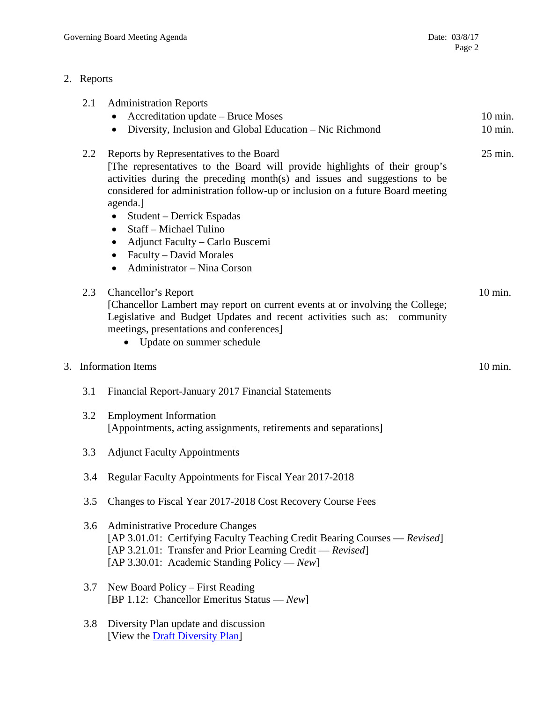[View the **Draft Diversity Plan**]

## 2. Reports

|    | 2.1                      | <b>Administration Reports</b><br>Accreditation update - Bruce Moses<br>$\bullet$<br>Diversity, Inclusion and Global Education – Nic Richmond<br>$\bullet$                                                                                                                                                                                                                                                                                                                                                             | 10 min.<br>$10 \text{ min.}$ |
|----|--------------------------|-----------------------------------------------------------------------------------------------------------------------------------------------------------------------------------------------------------------------------------------------------------------------------------------------------------------------------------------------------------------------------------------------------------------------------------------------------------------------------------------------------------------------|------------------------------|
|    | 2.2                      | Reports by Representatives to the Board<br>[The representatives to the Board will provide highlights of their group's<br>activities during the preceding month(s) and issues and suggestions to be<br>considered for administration follow-up or inclusion on a future Board meeting<br>agenda.]<br>Student – Derrick Espadas<br>$\bullet$<br>Staff - Michael Tulino<br>$\bullet$<br>Adjunct Faculty – Carlo Buscemi<br>$\bullet$<br>Faculty - David Morales<br>$\bullet$<br>Administrator - Nina Corson<br>$\bullet$ | 25 min.                      |
|    | 2.3                      | Chancellor's Report<br>[Chancellor Lambert may report on current events at or involving the College;<br>Legislative and Budget Updates and recent activities such as: community<br>meetings, presentations and conferences]<br>• Update on summer schedule                                                                                                                                                                                                                                                            | 10 min.                      |
| 3. | <b>Information Items</b> |                                                                                                                                                                                                                                                                                                                                                                                                                                                                                                                       | 10 min.                      |
|    | 3.1                      | Financial Report-January 2017 Financial Statements                                                                                                                                                                                                                                                                                                                                                                                                                                                                    |                              |
|    | 3.2                      | <b>Employment Information</b><br>[Appointments, acting assignments, retirements and separations]                                                                                                                                                                                                                                                                                                                                                                                                                      |                              |
|    | 3.3                      | <b>Adjunct Faculty Appointments</b>                                                                                                                                                                                                                                                                                                                                                                                                                                                                                   |                              |
|    | 3.4                      | Regular Faculty Appointments for Fiscal Year 2017-2018                                                                                                                                                                                                                                                                                                                                                                                                                                                                |                              |
|    | 3.5                      | Changes to Fiscal Year 2017-2018 Cost Recovery Course Fees                                                                                                                                                                                                                                                                                                                                                                                                                                                            |                              |
|    | 3.6                      | <b>Administrative Procedure Changes</b><br>[AP 3.01.01: Certifying Faculty Teaching Credit Bearing Courses — Revised]<br>[AP 3.21.01: Transfer and Prior Learning Credit - Revised]<br>[AP 3.30.01: Academic Standing Policy — $New$ ]                                                                                                                                                                                                                                                                                |                              |
|    | 3.7                      | New Board Policy – First Reading<br>[BP 1.12: Chancellor Emeritus Status — $New$ ]                                                                                                                                                                                                                                                                                                                                                                                                                                    |                              |
|    | 3.8                      | Diversity Plan update and discussion                                                                                                                                                                                                                                                                                                                                                                                                                                                                                  |                              |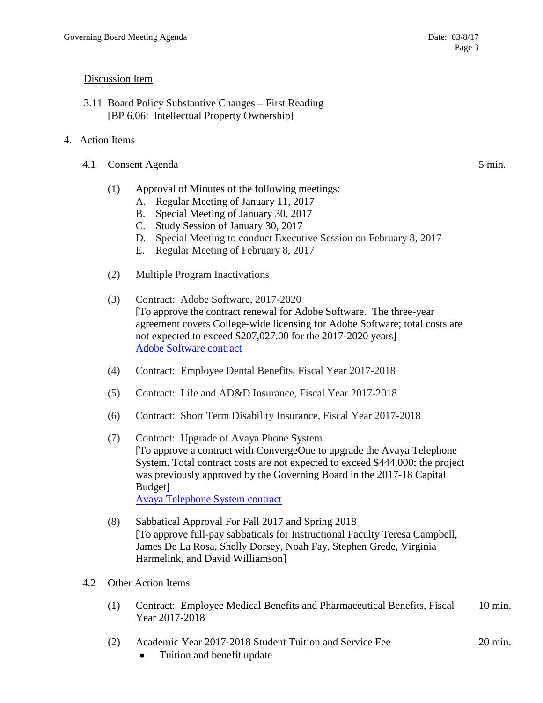## Discussion Item

- 3.11 Board Policy Substantive Changes First Reading [BP 6.06: Intellectual Property Ownership]
- 4. Action Items
	- 4.1 Consent Agenda 5 min.
		- (1) Approval of Minutes of the following meetings:
			- A. Regular Meeting of January 11, 2017
			- B. Special Meeting of January 30, 2017
			- C. Study Session of January 30, 2017
			- D. Special Meeting to conduct Executive Session on February 8, 2017
			- E. Regular Meeting of February 8, 2017
		- (2) Multiple Program Inactivations
		- (3) Contract: Adobe Software, 2017-2020 [To approve the contract renewal for Adobe Software. The three-year agreement covers College-wide licensing for Adobe Software; total costs are not expected to exceed \$207,027.00 for the 2017-2020 years] [Adobe Software contract](https://www.pima.edu/meeting-notices-support/2017-docs/201703-08-adobe-license-agreement.pdf)
		- (4) Contract: Employee Dental Benefits, Fiscal Year 2017-2018
		- (5) Contract: Life and AD&D Insurance, Fiscal Year 2017-2018
		- (6) Contract: Short Term Disability Insurance, Fiscal Year 2017-2018
		- (7) Contract: Upgrade of Avaya Phone System [To approve a contract with ConvergeOne to upgrade the Avaya Telephone System. Total contract costs are not expected to exceed \$444,000; the project was previously approved by the Governing Board in the 2017-18 Capital Budget] [Avaya Telephone System contract](https://www.pima.edu/meeting-notices-support/2017-docs/201703-08-avaya-agreement-phase-1.pdf)
		- (8) Sabbatical Approval For Fall 2017 and Spring 2018 [To approve full-pay sabbaticals for Instructional Faculty Teresa Campbell, James De La Rosa, Shelly Dorsey, Noah Fay, Stephen Grede, Virginia Harmelink, and David Williamson]
	- 4.2 Other Action Items
		- (1) Contract: Employee Medical Benefits and Pharmaceutical Benefits, Fiscal 10 min. Year 2017-2018
		- (2) Academic Year 2017-2018 Student Tuition and Service Fee 20 min.
			- Tuition and benefit update